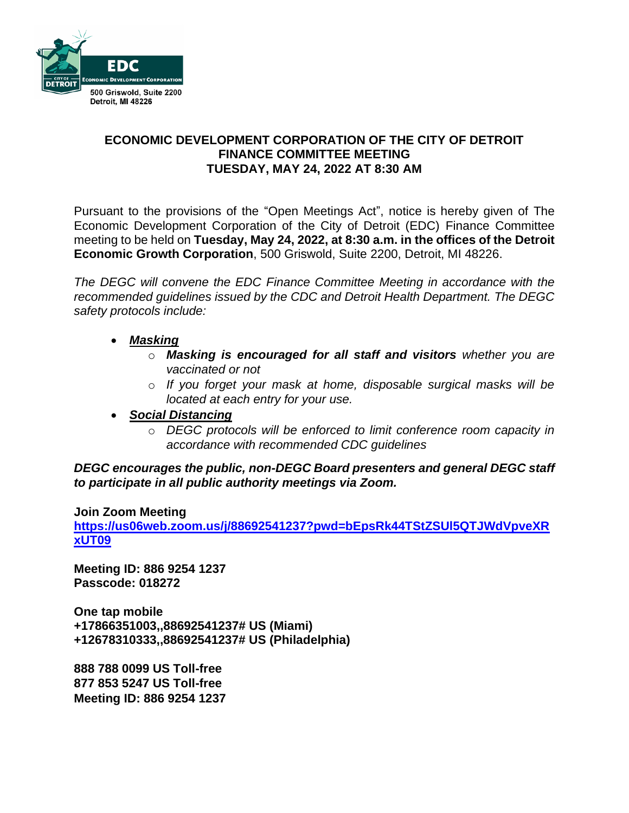

### **ECONOMIC DEVELOPMENT CORPORATION OF THE CITY OF DETROIT FINANCE COMMITTEE MEETING TUESDAY, MAY 24, 2022 AT 8:30 AM**

Pursuant to the provisions of the "Open Meetings Act", notice is hereby given of The Economic Development Corporation of the City of Detroit (EDC) Finance Committee meeting to be held on **Tuesday, May 24, 2022, at 8:30 a.m. in the offices of the Detroit Economic Growth Corporation**, 500 Griswold, Suite 2200, Detroit, MI 48226.

*The DEGC will convene the EDC Finance Committee Meeting in accordance with the recommended guidelines issued by the CDC and Detroit Health Department. The DEGC safety protocols include:*

- *Masking*
	- o *Masking is encouraged for all staff and visitors whether you are vaccinated or not*
	- o *If you forget your mask at home, disposable surgical masks will be located at each entry for your use.*
- *Social Distancing* 
	- o *DEGC protocols will be enforced to limit conference room capacity in accordance with recommended CDC guidelines*

*DEGC encourages the public, non-DEGC Board presenters and general DEGC staff to participate in all public authority meetings via Zoom.* 

#### **Join Zoom Meeting**

**[https://us06web.zoom.us/j/88692541237?pwd=bEpsRk44TStZSUl5QTJWdVpveXR](https://us06web.zoom.us/j/88692541237?pwd=bEpsRk44TStZSUl5QTJWdVpveXRxUT09) [xUT09](https://us06web.zoom.us/j/88692541237?pwd=bEpsRk44TStZSUl5QTJWdVpveXRxUT09)**

**Meeting ID: 886 9254 1237 Passcode: 018272**

**One tap mobile +17866351003,,88692541237# US (Miami) +12678310333,,88692541237# US (Philadelphia)** 

**888 788 0099 US Toll-free 877 853 5247 US Toll-free Meeting ID: 886 9254 1237**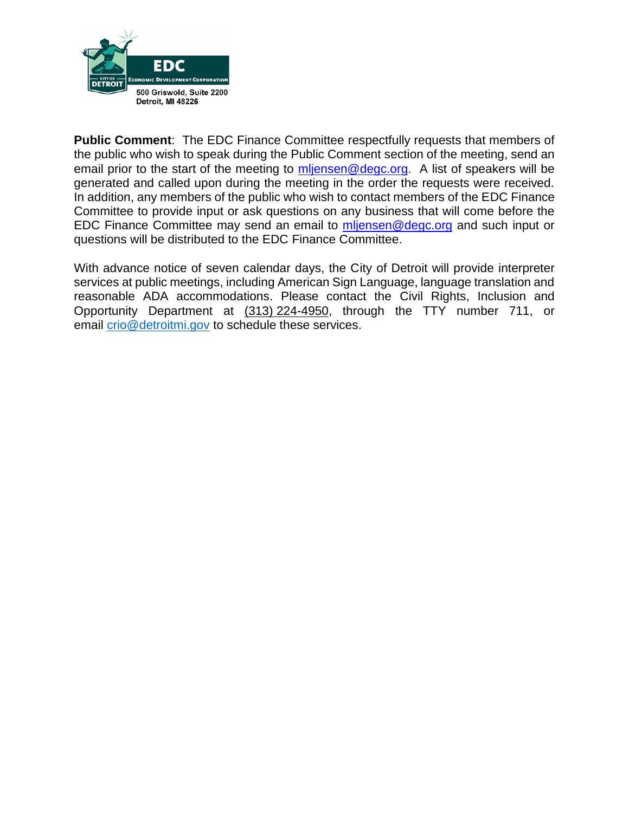

**Public Comment**: The EDC Finance Committee respectfully requests that members of the public who wish to speak during the Public Comment section of the meeting, send an email prior to the start of the meeting to  $m$  lensen @ degc.org. A list of speakers will be generated and called upon during the meeting in the order the requests were received. In addition, any members of the public who wish to contact members of the EDC Finance Committee to provide input or ask questions on any business that will come before the EDC Finance Committee may send an email to [mljensen@degc.org](mailto:mljensen@degc.org) and such input or questions will be distributed to the EDC Finance Committee.

With advance notice of seven calendar days, the City of Detroit will provide interpreter services at public meetings, including American Sign Language, language translation and reasonable ADA accommodations. Please contact the Civil Rights, Inclusion and Opportunity Department at (313) 224-4950, through the TTY number 711, or email [crio@detroitmi.gov](mailto:crio@detroitmi.gov) to schedule these services.